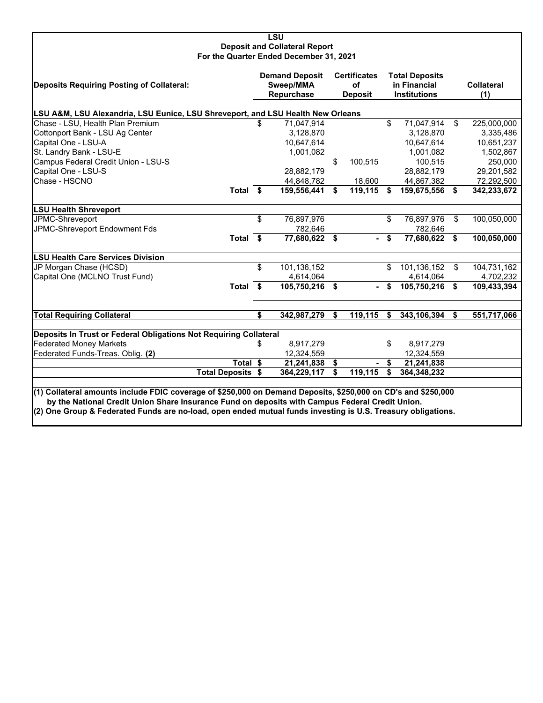| <b>LSU</b><br><b>Deposit and Collateral Report</b><br>For the Quarter Ended December 31, 2021                                                                                                                                                                                                                                    |                                                  |                |                                             |                          |                                                              |                |      |                          |  |  |
|----------------------------------------------------------------------------------------------------------------------------------------------------------------------------------------------------------------------------------------------------------------------------------------------------------------------------------|--------------------------------------------------|----------------|---------------------------------------------|--------------------------|--------------------------------------------------------------|----------------|------|--------------------------|--|--|
| <b>Deposits Requiring Posting of Collateral:</b>                                                                                                                                                                                                                                                                                 | <b>Demand Deposit</b><br>Sweep/MMA<br>Repurchase |                | <b>Certificates</b><br>οf<br><b>Deposit</b> |                          | <b>Total Deposits</b><br>in Financial<br><b>Institutions</b> |                |      | <b>Collateral</b><br>(1) |  |  |
| LSU A&M, LSU Alexandria, LSU Eunice, LSU Shreveport, and LSU Health New Orleans                                                                                                                                                                                                                                                  |                                                  |                |                                             |                          |                                                              |                |      |                          |  |  |
| Chase - LSU, Health Plan Premium                                                                                                                                                                                                                                                                                                 | \$                                               | 71,047,914     |                                             |                          | \$                                                           | 71,047,914     | \$   | 225,000,000              |  |  |
| Cottonport Bank - LSU Ag Center                                                                                                                                                                                                                                                                                                  |                                                  | 3,128,870      |                                             |                          |                                                              | 3,128,870      |      | 3,335,486                |  |  |
| Capital One - LSU-A                                                                                                                                                                                                                                                                                                              |                                                  | 10,647,614     |                                             |                          |                                                              | 10,647,614     |      | 10,651,237               |  |  |
| St. Landry Bank - LSU-E                                                                                                                                                                                                                                                                                                          |                                                  | 1,001,082      |                                             |                          |                                                              | 1,001,082      |      | 1,502,867                |  |  |
| Campus Federal Credit Union - LSU-S                                                                                                                                                                                                                                                                                              |                                                  |                | \$                                          | 100,515                  |                                                              | 100,515        |      | 250,000                  |  |  |
| Capital One - LSU-S                                                                                                                                                                                                                                                                                                              |                                                  | 28,882,179     |                                             |                          |                                                              | 28,882,179     |      | 29,201,582               |  |  |
| Chase - HSCNO                                                                                                                                                                                                                                                                                                                    |                                                  | 44,848,782     |                                             | 18,600                   |                                                              | 44,867,382     |      | 72,292,500               |  |  |
| Total \$                                                                                                                                                                                                                                                                                                                         |                                                  | 159,556,441    | \$                                          | 119,115                  | -S                                                           | 159,675,556    | - \$ | 342,233,672              |  |  |
| <b>LSU Health Shreveport</b>                                                                                                                                                                                                                                                                                                     |                                                  |                |                                             |                          |                                                              |                |      |                          |  |  |
| JPMC-Shreveport                                                                                                                                                                                                                                                                                                                  | \$                                               | 76,897,976     |                                             |                          | \$                                                           | 76,897,976     | \$   | 100,050,000              |  |  |
| JPMC-Shreveport Endowment Fds                                                                                                                                                                                                                                                                                                    |                                                  | 782,646        |                                             |                          |                                                              | 782,646        |      |                          |  |  |
| Total \$                                                                                                                                                                                                                                                                                                                         |                                                  | 77,680,622 \$  |                                             | $\sim$                   | \$                                                           | 77,680,622 \$  |      | 100,050,000              |  |  |
| <b>LSU Health Care Services Division</b>                                                                                                                                                                                                                                                                                         |                                                  |                |                                             |                          |                                                              |                |      |                          |  |  |
| JP Morgan Chase (HCSD)                                                                                                                                                                                                                                                                                                           | \$                                               | 101,136,152    |                                             |                          | \$                                                           | 101,136,152    | \$   | 104,731,162              |  |  |
| Capital One (MCLNO Trust Fund)                                                                                                                                                                                                                                                                                                   |                                                  | 4,614,064      |                                             |                          |                                                              | 4,614,064      |      | 4,702,232                |  |  |
| Total \$                                                                                                                                                                                                                                                                                                                         |                                                  | 105,750,216 \$ |                                             | $\overline{\phantom{0}}$ | \$                                                           | 105,750,216 \$ |      | 109,433,394              |  |  |
|                                                                                                                                                                                                                                                                                                                                  |                                                  |                |                                             |                          |                                                              |                |      |                          |  |  |
| <b>Total Requiring Collateral</b>                                                                                                                                                                                                                                                                                                | \$                                               | 342,987,279    | \$                                          | 119,115                  | \$                                                           | 343,106,394    | S    | 551,717,066              |  |  |
| Deposits In Trust or Federal Obligations Not Requiring Collateral                                                                                                                                                                                                                                                                |                                                  |                |                                             |                          |                                                              |                |      |                          |  |  |
| <b>Federated Money Markets</b>                                                                                                                                                                                                                                                                                                   | S                                                | 8,917,279      |                                             |                          | \$                                                           | 8,917,279      |      |                          |  |  |
| Federated Funds-Treas. Oblig. (2)                                                                                                                                                                                                                                                                                                |                                                  | 12,324,559     |                                             |                          |                                                              | 12,324,559     |      |                          |  |  |
| Total \$                                                                                                                                                                                                                                                                                                                         |                                                  | 21,241,838     | \$                                          |                          | \$                                                           | 21,241,838     |      |                          |  |  |
| <b>Total Deposits \$</b>                                                                                                                                                                                                                                                                                                         |                                                  | 364,229,117    | \$                                          | 119,115                  | \$                                                           | 364,348,232    |      |                          |  |  |
|                                                                                                                                                                                                                                                                                                                                  |                                                  |                |                                             |                          |                                                              |                |      |                          |  |  |
| (1) Collateral amounts include FDIC coverage of \$250,000 on Demand Deposits, \$250,000 on CD's and \$250,000<br>by the National Credit Union Share Insurance Fund on deposits with Campus Federal Credit Union.<br>(2) One Group & Federated Funds are no-load, open ended mutual funds investing is U.S. Treasury obligations. |                                                  |                |                                             |                          |                                                              |                |      |                          |  |  |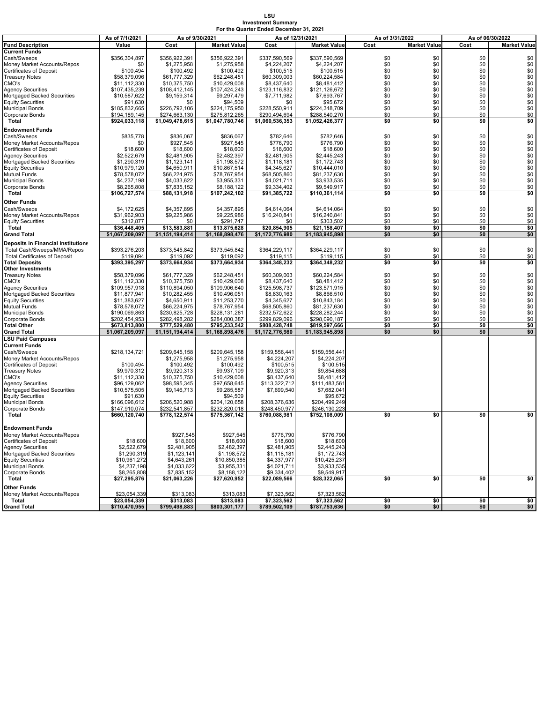## **LSU Investment Summary For the Quarter Ended December 31, 2021**

|                                      |                 |                 |                     | As of 12/31/2021 |                     |                 |                     | As of 06/30/2022 |                     |  |
|--------------------------------------|-----------------|-----------------|---------------------|------------------|---------------------|-----------------|---------------------|------------------|---------------------|--|
|                                      | As of 7/1/2021  | As of 9/30/2021 |                     |                  |                     | As of 3/31/2022 |                     |                  |                     |  |
| <b>Fund Description</b>              | Value           | Cost            | <b>Market Value</b> | Cost             | <b>Market Value</b> | Cost            | <b>Market Value</b> | Cost             | <b>Market Value</b> |  |
| <b>Current Funds</b>                 |                 |                 |                     |                  |                     |                 |                     |                  |                     |  |
|                                      |                 |                 |                     |                  |                     | \$0             |                     | \$0              |                     |  |
| Cash/Sweeps                          | \$356,304,897   | \$356,922,391   | \$356,922,391       | \$337,590,569    | \$337,590,569       |                 | \$0                 |                  | \$0                 |  |
| Money Market Accounts/Repos          | \$0             | \$1,275,958     | \$1,275,958         | \$4,224,207      | \$4,224,207         | \$0             | \$0                 | \$0              | \$0                 |  |
| Certificates of Deposit              | \$100,494       | \$100,492       | \$100,492           | \$100,515        | \$100,515           | \$0             | \$0                 | \$0              | \$0                 |  |
| Treasury Notes                       | \$58,379,096    | \$61,777,329    | \$62,248,451        | \$60,309,003     | \$60,224,584        | \$0             | \$0                 | \$0              | $\ddot{\$0}$        |  |
| CMO's                                | \$11,112,330    | \$10,375,750    | \$10,429,008        | \$8,437,640      | \$8,481,412         | \$0             | \$0                 | \$0              | \$0                 |  |
|                                      |                 |                 |                     |                  |                     |                 |                     |                  |                     |  |
| <b>Agency Securities</b>             | \$107,435,239   | \$108,412,145   | \$107,424,243       | \$123,116,832    | \$121,126,672       | \$0             | \$0                 | \$0              | \$0                 |  |
| Mortgaged Backed Securities          | \$10,587,622    | \$9,159,314     | \$9,297,479         | \$7,711,982      | \$7,693,767         | \$0             | \$0                 | \$0              | \$0                 |  |
| <b>Equity Securities</b>             | \$91,630        | \$0             | \$94,509            | \$0              | \$95,672            | \$0             | \$0                 | \$0              | \$0                 |  |
| Municipal Bonds                      | \$185,832,665   | \$226,792,106   | \$224,175,950       | \$228,550,911    | \$224,348,709       | \$0             | \$0                 | \$0              | \$0                 |  |
| Corporate Bonds                      | \$194,189,145   | \$274,663,130   | \$275,812,265       | \$290,494,694    | \$288,540,270       | \$0             | \$0                 | \$0              | \$0                 |  |
|                                      |                 |                 |                     |                  |                     |                 |                     |                  |                     |  |
| Total                                | \$924,033,118   | \$1,049,478,615 | \$1,047,780,746     | \$1,060,536,353  | \$1,052,426,377     | \$0             | \$0                 | \$0              | \$0                 |  |
| <b>Endowment Funds</b>               |                 |                 |                     |                  |                     |                 |                     |                  |                     |  |
|                                      |                 |                 |                     |                  |                     |                 |                     |                  |                     |  |
| Cash/Sweeps                          | \$835,778       | \$836,067       | \$836,067           | \$782,646        | \$782,646           | \$0             | \$0                 | \$0              | \$0                 |  |
| Money Market Accounts/Repos          | \$0             | \$927,545       | \$927,545           | \$776,790        | \$776,790           | \$0             | \$0                 | \$0              | $$0$$<br>$$0$       |  |
| Certificates of Deposit              | \$18,600        | \$18,600        | \$18,600            | \$18,600         | \$18,600            | \$0             | \$0                 | \$0              |                     |  |
| Agency Securities                    | \$2,522,679     | \$2.481.905     | \$2,482,397         | \$2.481.905      | \$2,445,243         | \$0             | \$0                 | \$0              | \$0                 |  |
|                                      |                 |                 |                     |                  |                     |                 |                     |                  |                     |  |
| Mortgaged Backed Securities          | \$1,290,319     | \$1,123,141     | \$1,198,572         | \$1,118,181      | \$1,172,743         | \$0             | \$0                 | \$0              | \$0                 |  |
| <b>Equity Securities</b>             | \$10,979,120    | \$4,650,911     | \$10,867,514        | \$4,345,627      | \$10,444,010        | \$0             | \$0                 | \$0              | \$0                 |  |
| Mutual Funds                         | \$78,578,072    | \$66,224,975    | \$78,767,954        | \$68,505,860     | \$81,237,630        | \$0             | \$0                 | \$0              | \$0                 |  |
| <b>Municipal Bonds</b>               |                 | \$4,033,622     | \$3,955,331         | \$4,021,711      | \$3,933,535         | \$0             | \$0                 | \$0              | \$0                 |  |
|                                      | \$4,237,198     |                 |                     |                  |                     |                 |                     |                  |                     |  |
| Corporate Bonds                      | \$8,265,808     | \$7,835,152     | \$8,188,122         | \$9,334,402      | \$9,549,917         | \$0             | \$0                 | \$0              | \$0                 |  |
| Total                                | \$106,727,574   | \$88,131,918    | \$107,242,102       | \$91,385,722     | \$110,361,114       | \$0             | \$0                 | \$0              | \$0                 |  |
|                                      |                 |                 |                     |                  |                     |                 |                     |                  |                     |  |
| Other Funds                          |                 |                 |                     |                  |                     |                 |                     |                  |                     |  |
| Cash/Sweeps                          | \$4,172,625     | \$4,357,895     | \$4,357,895         | \$4,614,064      | \$4,614,064         | \$0             | \$0                 | \$0              | \$0                 |  |
| Money Market Accounts/Repos          | \$31,962,903    | \$9,225,986     | \$9,225,986         | \$16,240,841     | \$16,240,841        | \$0             | \$0                 | \$0              | \$0                 |  |
|                                      |                 |                 | \$291.747           |                  |                     |                 |                     | \$0              |                     |  |
| <b>Equity Securities</b>             | \$312,877       | \$0             |                     | \$0              | \$303,502           | \$0             | \$0                 |                  | \$0                 |  |
| Total                                | \$36,448,405    | \$13,583,881    | \$13,875,628        | \$20.854.905     | \$21,158,407        | \$0             | \$0                 | \$0              | \$0                 |  |
| <b>Grand Total</b>                   | \$1,067,209,097 | \$1,151,194,414 | \$1,168,898,476     | \$1,172,776,980  | \$1,183,945,898     | \$0             | \$0                 | \$0              | \$0                 |  |
| Deposits in Financial Institutions   |                 |                 |                     |                  |                     |                 |                     |                  |                     |  |
|                                      |                 |                 |                     |                  |                     |                 |                     |                  |                     |  |
| Total Cash/Sweeps/MMA/Repos          | \$393,276,203   | \$373,545,842   | \$373,545,842       | \$364,229,117    | \$364,229,117       | \$0             | \$0                 | \$0              | \$0                 |  |
| <b>Total Certificates of Deposit</b> | \$119,094       | \$119.092       | \$119,092           | \$119.115        | \$119,115           | \$0             | \$0                 | \$0              | \$0                 |  |
| <b>Total Deposits</b>                | \$393,395,297   | \$373,664,934   | \$373,664,934       | \$364,348,232    | \$364,348,232       | \$0             | \$0                 | \$0              | \$0                 |  |
| Other Investments                    |                 |                 |                     |                  |                     |                 |                     |                  |                     |  |
|                                      |                 |                 |                     |                  |                     |                 |                     |                  |                     |  |
| <b>Treasury Notes</b>                | \$58,379,096    | \$61,777,329    | \$62,248,451        | \$60,309,003     | \$60,224,584        | \$0             | \$0                 | \$0              | \$0                 |  |
| CMO's                                | \$11,112,330    | \$10,375,750    | \$10,429,008        | \$8,437,640      | \$8,481,412         | \$0             | \$0                 | \$0              | $$0$$<br>$$0$       |  |
| <b>Agency Securities</b>             | \$109,957,918   | \$110,894,050   | \$109,906,640       | \$125,598,737    | \$123,571,915       | \$0             | \$0                 | \$0              |                     |  |
| Mortgaged Backed Securities          | \$11,877,941    | \$10,282,455    | \$10,496,051        | \$8,830,163      | \$8,866,510         | \$0             | \$0                 | \$0              | \$0                 |  |
|                                      |                 |                 |                     |                  |                     |                 |                     |                  |                     |  |
| <b>Equity Securities</b>             | \$11,383,627    | \$4,650,911     | \$11,253,770        | \$4,345,627      | \$10,843,184        | \$0             | \$0                 | \$0              | \$0                 |  |
| Mutual Funds                         | \$78,578,072    | \$66,224,975    | \$78,767,954        | \$68,505,860     | \$81,237,630        | \$0             | \$0                 | \$0              | \$0                 |  |
| <b>Municipal Bonds</b>               | \$190,069,863   | \$230,825,728   | \$228,131,281       | \$232,572,622    | \$228,282,244       | \$0             | \$0                 | \$0              | \$0                 |  |
| Corporate Bonds                      | \$202,454,953   | \$282,498,282   | \$284,000,387       | \$299,829,096    | \$298,090,187       | \$0             | \$0                 | \$0              | \$0                 |  |
|                                      |                 |                 |                     |                  |                     |                 |                     |                  |                     |  |
| <b>Total Other</b>                   | \$673,813,800   | \$777,529,480   | \$795,233,542       | \$808,428,748    | \$819,597,666       | \$0             | \$0                 | \$0              | \$0                 |  |
| <b>Grand Total</b>                   | \$1,067,209,097 | \$1,151,194,414 | \$1,168,898,476     | \$1,172,776,980  | \$1,183,945,898     | \$0             | \$0                 | \$0              | \$0                 |  |
| <b>LSU Paid Campuses</b>             |                 |                 |                     |                  |                     |                 |                     |                  |                     |  |
| <b>Current Funds</b>                 |                 |                 |                     |                  |                     |                 |                     |                  |                     |  |
| Cash/Sweeps                          | \$218,134,721   | \$209,645,158   | \$209,645,158       | \$159,556,441    | \$159,556,441       |                 |                     |                  |                     |  |
|                                      |                 |                 |                     |                  |                     |                 |                     |                  |                     |  |
| Money Market Accounts/Repos          |                 | \$1,275,958     | \$1,275,958         | \$4,224,207      | \$4,224,207         |                 |                     |                  |                     |  |
| Certificates of Deposit              | \$100,494       | \$100,492       | \$100,492           | \$100,515        | \$100,515           |                 |                     |                  |                     |  |
| Treasury Notes                       | \$9,970,312     | \$9,920,313     | \$9,937,109         | \$9,920,313      | \$9,854,688         |                 |                     |                  |                     |  |
| CMO's                                | \$11,112,330    | \$10,375,750    | \$10,429,008        | \$8,437,640      | \$8,481,412         |                 |                     |                  |                     |  |
|                                      |                 |                 |                     |                  |                     |                 |                     |                  |                     |  |
| <b>Agency Securities</b>             | \$96,129,062    | \$98,595,345    | \$97,658,645        | \$113,322,712    | \$111,483,561       |                 |                     |                  |                     |  |
| Mortgaged Backed Securities          | \$10,575,505    | \$9,146,713     | \$9,285,587         | \$7,699,540      | \$7,682,041         |                 |                     |                  |                     |  |
| <b>Equity Securities</b>             | \$91,630        |                 | \$94,509            |                  | \$95,672            |                 |                     |                  |                     |  |
| <b>Municipal Bonds</b>               | \$166,096,612   | \$206,520,988   | \$204,120,658       | \$208,376,636    | \$204,499,249       |                 |                     |                  |                     |  |
|                                      |                 |                 |                     |                  |                     |                 |                     |                  |                     |  |
| Corporate Bonds                      | \$147,910,074   | \$232,541,857   | \$232,820,018       | \$248,450,977    | \$246,130,223       |                 |                     |                  |                     |  |
| <b>Total</b>                         | \$660,120,740   | \$778,122,574   | \$775,367,142       | \$760,088,981    | \$752,108,009       | \$0             | \$0                 | \$0              | \$0                 |  |
|                                      |                 |                 |                     |                  |                     |                 |                     |                  |                     |  |
| Endowment Funds                      |                 |                 |                     |                  |                     |                 |                     |                  |                     |  |
| Money Market Accounts/Repos          |                 | \$927,545       | \$927,545           | \$776,790        | \$776,790           |                 |                     |                  |                     |  |
|                                      |                 |                 |                     |                  |                     |                 |                     |                  |                     |  |
| Certificates of Deposit              | \$18,600        | \$18,600        | \$18,600            | \$18,600         | \$18,600            |                 |                     |                  |                     |  |
| Agency Securities                    | \$2,522,679     | \$2,481,905     | \$2,482,397         | \$2,481,905      | \$2,445,243         |                 |                     |                  |                     |  |
| Mortgaged Backed Securities          | \$1,290,319     | \$1,123,141     | \$1,198,572         | \$1,118,181      | \$1,172,743         |                 |                     |                  |                     |  |
|                                      |                 |                 |                     |                  |                     |                 |                     |                  |                     |  |
| <b>Equity Securities</b>             | \$10,961,272    | \$4,643,261     | \$10,850,385        | \$4,337,977      | \$10,425,237        |                 |                     |                  |                     |  |
| <b>Municipal Bonds</b>               | \$4,237,198     | \$4,033,622     | \$3,955,331         | \$4,021,711      | \$3,933,535         |                 |                     |                  |                     |  |
| Corporate Bonds                      | \$8,265,808     | \$7,835,152     | \$8,188,122         | \$9,334,402      | \$9,549,917         |                 |                     |                  |                     |  |
| Total                                | \$27,295,876    | \$21,063,226    | \$27,620,952        | \$22,089,566     | \$28,322,065        | \$0             | \$0                 | \$0              | \$0                 |  |
|                                      |                 |                 |                     |                  |                     |                 |                     |                  |                     |  |
| Other Funds                          |                 |                 |                     |                  |                     |                 |                     |                  |                     |  |
| Money Market Accounts/Repos          | \$23,054,339    | \$313,083       | \$313,083           | \$7,323,562      | \$7,323,562         |                 |                     |                  |                     |  |
| Total                                | \$23,054,339    | \$313,083       | \$313,083           | \$7,323,562      | \$7,323,562         | \$0             | \$0                 | \$0              | \$0                 |  |
| Grand Total                          | \$710,470,955   | \$799,498,883   | \$803,301,177       | \$789,502,109    | \$787,753,636       | \$0             | \$0                 | \$0              | \$0                 |  |
|                                      |                 |                 |                     |                  |                     |                 |                     |                  |                     |  |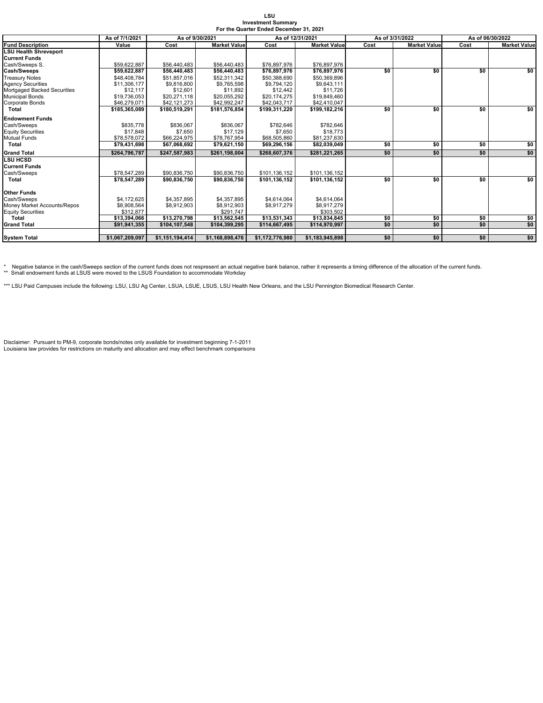| LSU                                     |
|-----------------------------------------|
| <b>Investment Summary</b>               |
| For the Quarter Ended December 31, 2021 |

|                              | As of 7/1/2021  | As of 9/30/2021 |                     | As of 12/31/2021 |                     |      | As of 3/31/2022     | As of 06/30/2022 |                     |
|------------------------------|-----------------|-----------------|---------------------|------------------|---------------------|------|---------------------|------------------|---------------------|
| <b>Fund Description</b>      | Value           | Cost            | <b>Market Value</b> | Cost             | <b>Market Value</b> | Cost | <b>Market Value</b> | Cost             | <b>Market Value</b> |
| <b>LSU Health Shreveport</b> |                 |                 |                     |                  |                     |      |                     |                  |                     |
| <b>Current Funds</b>         |                 |                 |                     |                  |                     |      |                     |                  |                     |
| Cash/Sweeps S.               | \$59.622.887    | \$56,440,483    | \$56,440,483        | \$76,897,976     | \$76,897,976        |      |                     |                  |                     |
| <b>Cash/Sweeps</b>           | \$59,622,887    | \$56,440,483    | \$56,440,483        | \$76,897,976     | \$76,897,976        | \$0  | \$0                 | \$0              | \$0                 |
| <b>Treasury Notes</b>        | \$48,408,784    | \$51,857,016    | \$52,311,342        | \$50,388,690     | \$50,369,896        |      |                     |                  |                     |
| <b>Agency Securities</b>     | \$11.306.177    | \$9,816,800     | \$9.765.598         | \$9,794,120      | \$9.643.111         |      |                     |                  |                     |
| Mortgaged Backed Securities  | \$12.117        | \$12,601        | \$11,892            | \$12,442         | \$11,726            |      |                     |                  |                     |
| <b>Municipal Bonds</b>       | \$19,736,053    | \$20,271,118    | \$20,055,292        | \$20,174,275     | \$19,849,460        |      |                     |                  |                     |
| <b>Corporate Bonds</b>       | \$46,279,071    | \$42.121.273    | \$42.992.247        | \$42,043,717     | \$42,410,047        |      |                     |                  |                     |
| <b>Total</b>                 | \$185,365,089   | \$180,519,291   | \$181,576,854       | \$199,311,220    | \$199,182,216       | \$0  | \$0                 | \$0              | so                  |
| <b>Endowment Funds</b>       |                 |                 |                     |                  |                     |      |                     |                  |                     |
| Cash/Sweeps                  | \$835,778       | \$836,067       | \$836.067           | \$782,646        | \$782.646           |      |                     |                  |                     |
| <b>Equity Securities</b>     | \$17,848        | \$7,650         | \$17.129            | \$7,650          | \$18,773            |      |                     |                  |                     |
| <b>Mutual Funds</b>          | \$78,578,072    | \$66,224,975    | \$78,767,954        | \$68,505,860     | \$81,237,630        |      |                     |                  |                     |
| <b>Total</b>                 | \$79,431,698    | \$67,068,692    | \$79,621,150        | \$69,296,156     | \$82,039,049        | \$0  | \$0                 | \$0              | \$0                 |
| <b>Grand Total</b>           | \$264.796.787   | \$247.587.983   | \$261.198.004       | \$268,607,376    | \$281.221.265       | \$0  | \$0                 | \$0              | \$0                 |
| <b>LSU HCSD</b>              |                 |                 |                     |                  |                     |      |                     |                  |                     |
| <b>Current Funds</b>         |                 |                 |                     |                  |                     |      |                     |                  |                     |
| Cash/Sweeps                  | \$78,547,289    | \$90,836,750    | \$90,836,750        | \$101,136,152    | \$101,136,152       |      |                     |                  |                     |
| <b>Total</b>                 | \$78.547.289    | \$90,836,750    | \$90,836,750        | \$101.136.152    | \$101.136.152       | \$0  | \$0                 | \$0              | \$0                 |
| <b>Other Funds</b>           |                 |                 |                     |                  |                     |      |                     |                  |                     |
| Cash/Sweeps                  | \$4,172,625     | \$4,357,895     | \$4,357,895         | \$4,614,064      | \$4,614,064         |      |                     |                  |                     |
| Money Market Accounts/Repos  | \$8,908,564     | \$8,912,903     | \$8,912,903         | \$8,917,279      | \$8,917,279         |      |                     |                  |                     |
| <b>Equity Securities</b>     | \$312.877       |                 | \$291.747           |                  | \$303.502           |      |                     |                  |                     |
| Total                        | \$13,394,066    | \$13,270,798    | \$13,562,545        | \$13,531,343     | \$13,834,845        | \$0  | \$0                 | \$0              | \$0                 |
| <b>Grand Total</b>           | \$91,941,355    | \$104,107,548   | \$104,399,295       | \$114,667,495    | \$114,970,997       | \$0  | \$0                 | \$0              | \$0                 |
|                              |                 |                 |                     |                  |                     |      |                     |                  |                     |
| <b>System Total</b>          | \$1,067,209,097 | \$1,151,194,414 | \$1,168,898,476     | \$1,172,776,980  | \$1,183,945,898     | \$0  | \$0                 | \$0              | \$0                 |

\* Negative balance in the cash/Sweeps section of the current funds does not respresent an actual negative bank balance, rather it represents a timing difference of the allocation of the current funds.<br>\*\* Small endowment fu

\*\*\* LSU Paid Campuses include the following: LSU, LSU Ag Center, LSUA, LSUE, LSUS, LSU Health New Orleans, and the LSU Pennington Biomedical Research Center.

Disclaimer: Pursuant to PM-9, corporate bonds/notes only available for investment beginning 7-1-2011 Louisiana law provides for restrictions on maturity and allocation and may effect benchmark comparisons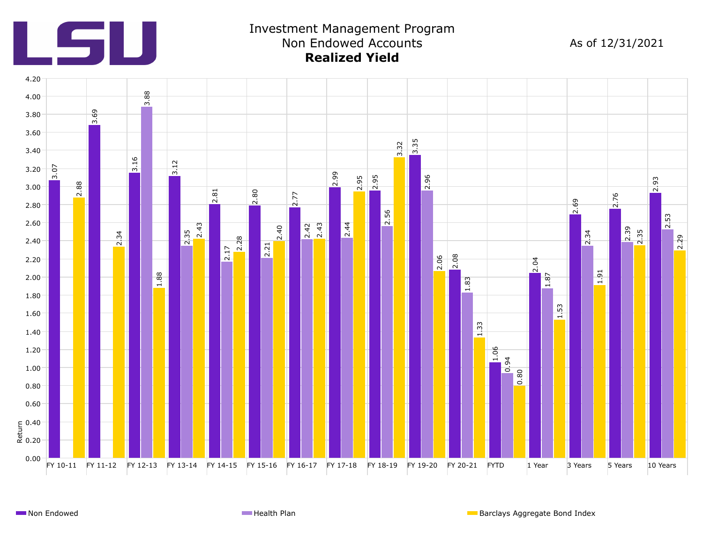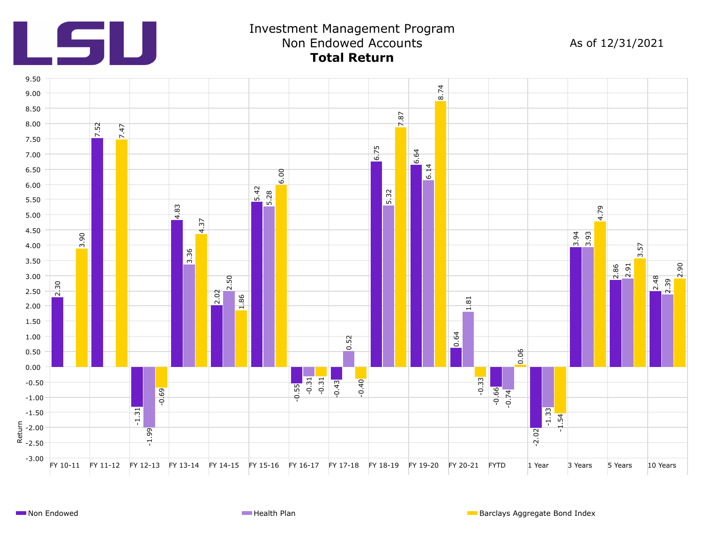

## Investment Management Program Non Endowed Accounts **Total Return**

As of 12/31/2021

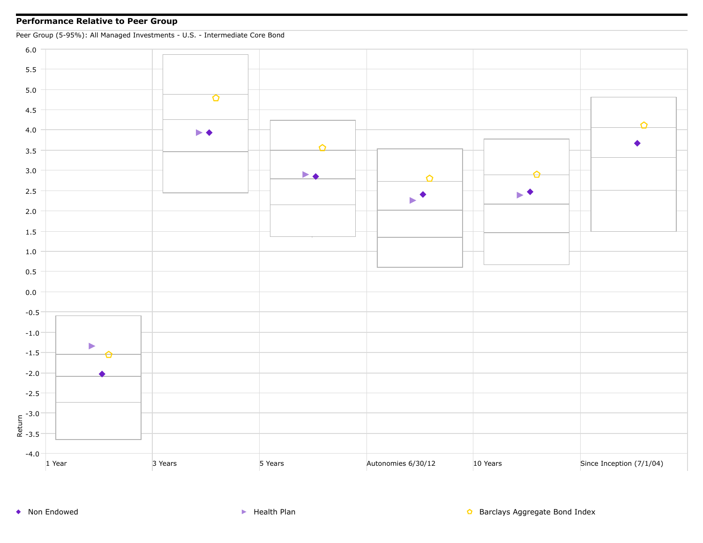## **Performance Relative to Peer Group**



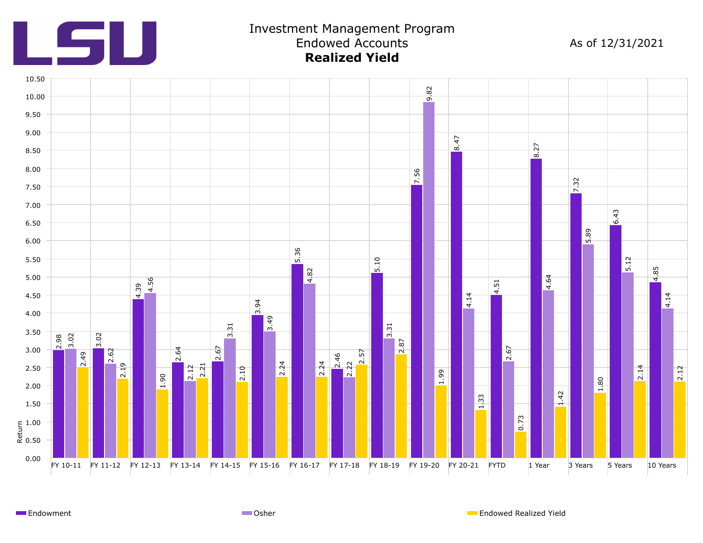

## Investment Management Program Endowed Accounts **Realized Yield**

As of 12/31/2021



**Endowment** Channel Communication Communication Communication Communication Communication Communication Communication Communication Communication Communication Communication Communication Communication Communication Commun